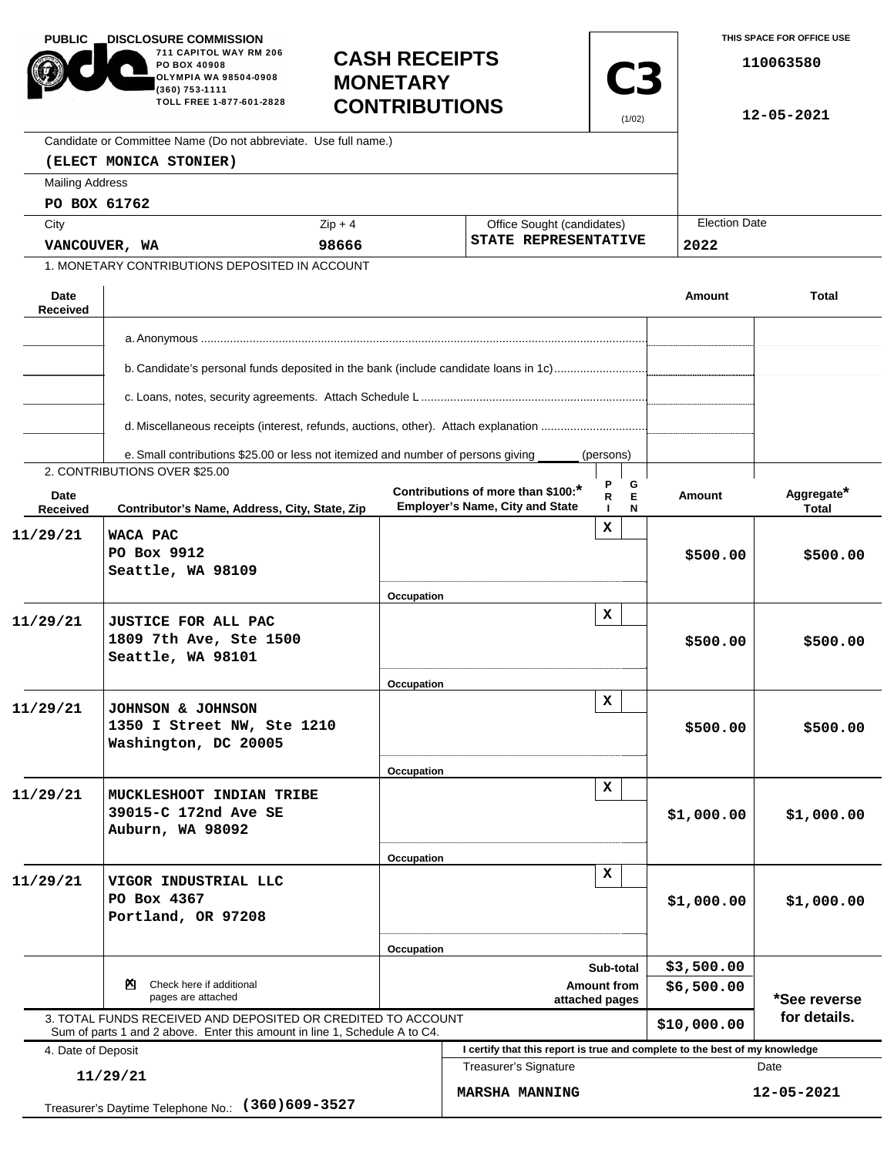| <b>PUBLIC</b>                                                       | <b>DISCLOSURE COMMISSION.</b><br>711 CAPITOL WAY RM 206<br><b>CASH RECEIPTS</b><br>PO BOX 40908<br>OLYMPIA WA 98504-0908<br><b>MONETARY</b><br>$(360)$ 753-1111<br>TOLL FREE 1-877-601-2828<br><b>CONTRIBUTIONS</b> |            | C <sub>3</sub><br>(1/02)                                                     |                        |             | THIS SPACE FOR OFFICE USE<br>110063580<br>$12 - 05 - 2021$ |  |
|---------------------------------------------------------------------|---------------------------------------------------------------------------------------------------------------------------------------------------------------------------------------------------------------------|------------|------------------------------------------------------------------------------|------------------------|-------------|------------------------------------------------------------|--|
|                                                                     | Candidate or Committee Name (Do not abbreviate. Use full name.)                                                                                                                                                     |            |                                                                              |                        |             |                                                            |  |
|                                                                     | (ELECT MONICA STONIER)                                                                                                                                                                                              |            |                                                                              |                        |             |                                                            |  |
| <b>Mailing Address</b>                                              |                                                                                                                                                                                                                     |            |                                                                              |                        |             |                                                            |  |
|                                                                     | PO BOX 61762                                                                                                                                                                                                        |            |                                                                              |                        |             |                                                            |  |
| City                                                                |                                                                                                                                                                                                                     | $Zip + 4$  | Office Sought (candidates)                                                   |                        |             | <b>Election Date</b>                                       |  |
| VANCOUVER, WA                                                       |                                                                                                                                                                                                                     | 98666      | STATE REPRESENTATIVE                                                         |                        | 2022        |                                                            |  |
|                                                                     | 1. MONETARY CONTRIBUTIONS DEPOSITED IN ACCOUNT                                                                                                                                                                      |            |                                                                              |                        |             |                                                            |  |
| Date<br>Received                                                    |                                                                                                                                                                                                                     |            |                                                                              |                        | Amount      | <b>Total</b>                                               |  |
|                                                                     |                                                                                                                                                                                                                     |            |                                                                              |                        |             |                                                            |  |
|                                                                     |                                                                                                                                                                                                                     |            |                                                                              |                        |             |                                                            |  |
|                                                                     | b. Candidate's personal funds deposited in the bank (include candidate loans in 1c)                                                                                                                                 |            |                                                                              |                        |             |                                                            |  |
|                                                                     |                                                                                                                                                                                                                     |            |                                                                              |                        |             |                                                            |  |
|                                                                     |                                                                                                                                                                                                                     |            |                                                                              |                        |             |                                                            |  |
|                                                                     | e. Small contributions \$25.00 or less not itemized and number of persons giving<br>2. CONTRIBUTIONS OVER \$25.00                                                                                                   |            |                                                                              | (persons)              |             |                                                            |  |
| Date<br>Received                                                    | Contributor's Name, Address, City, State, Zip                                                                                                                                                                       |            | Contributions of more than \$100:*<br><b>Employer's Name, City and State</b> | Ρ<br>G<br>Ė<br>R.<br>N | Amount      | Aggregate*<br><b>Total</b>                                 |  |
| 11/29/21                                                            | WACA PAC<br>PO Box 9912<br>Seattle, WA 98109                                                                                                                                                                        |            |                                                                              | x                      | \$500.00    | \$500.00                                                   |  |
|                                                                     |                                                                                                                                                                                                                     | Occupation |                                                                              |                        |             |                                                            |  |
| 11/29/21                                                            | <b>JUSTICE FOR ALL PAC</b><br>1809 7th Ave, Ste 1500<br>Seattle, WA 98101                                                                                                                                           |            |                                                                              | x                      | \$500.00    | \$500.00                                                   |  |
|                                                                     |                                                                                                                                                                                                                     | Occupation |                                                                              |                        |             |                                                            |  |
| 11/29/21                                                            | JOHNSON & JOHNSON<br>1350 I Street NW, Ste 1210<br>Washington, DC 20005                                                                                                                                             |            |                                                                              | x                      | \$500.00    | \$500.00                                                   |  |
|                                                                     |                                                                                                                                                                                                                     | Occupation |                                                                              | x                      |             |                                                            |  |
| 11/29/21                                                            | MUCKLESHOOT INDIAN TRIBE<br>39015-C 172nd Ave SE<br>Auburn, WA 98092                                                                                                                                                |            |                                                                              |                        | \$1,000.00  | \$1,000.00                                                 |  |
|                                                                     |                                                                                                                                                                                                                     | Occupation |                                                                              |                        |             |                                                            |  |
| 11/29/21                                                            | VIGOR INDUSTRIAL LLC<br>PO Box 4367<br>Portland, OR 97208                                                                                                                                                           |            |                                                                              | $\mathbf x$            | \$1,000.00  | \$1,000.00                                                 |  |
|                                                                     |                                                                                                                                                                                                                     | Occupation |                                                                              |                        |             |                                                            |  |
|                                                                     | Check here if additional<br>×.                                                                                                                                                                                      |            | Sub-total<br><b>Amount from</b>                                              |                        | \$3,500.00  |                                                            |  |
| pages are attached                                                  |                                                                                                                                                                                                                     |            | attached pages                                                               |                        | \$6,500.00  | *See reverse                                               |  |
|                                                                     | 3. TOTAL FUNDS RECEIVED AND DEPOSITED OR CREDITED TO ACCOUNT<br>Sum of parts 1 and 2 above. Enter this amount in line 1, Schedule A to C4.                                                                          |            |                                                                              |                        | \$10,000.00 | for details.                                               |  |
| 4. Date of Deposit                                                  |                                                                                                                                                                                                                     |            | I certify that this report is true and complete to the best of my knowledge  |                        |             |                                                            |  |
| 11/29/21<br>$(360)609 - 3527$<br>Treasurer's Daytime Telephone No.: |                                                                                                                                                                                                                     |            | <b>Treasurer's Signature</b><br><b>MARSHA MANNING</b>                        |                        |             | Date<br>12-05-2021                                         |  |